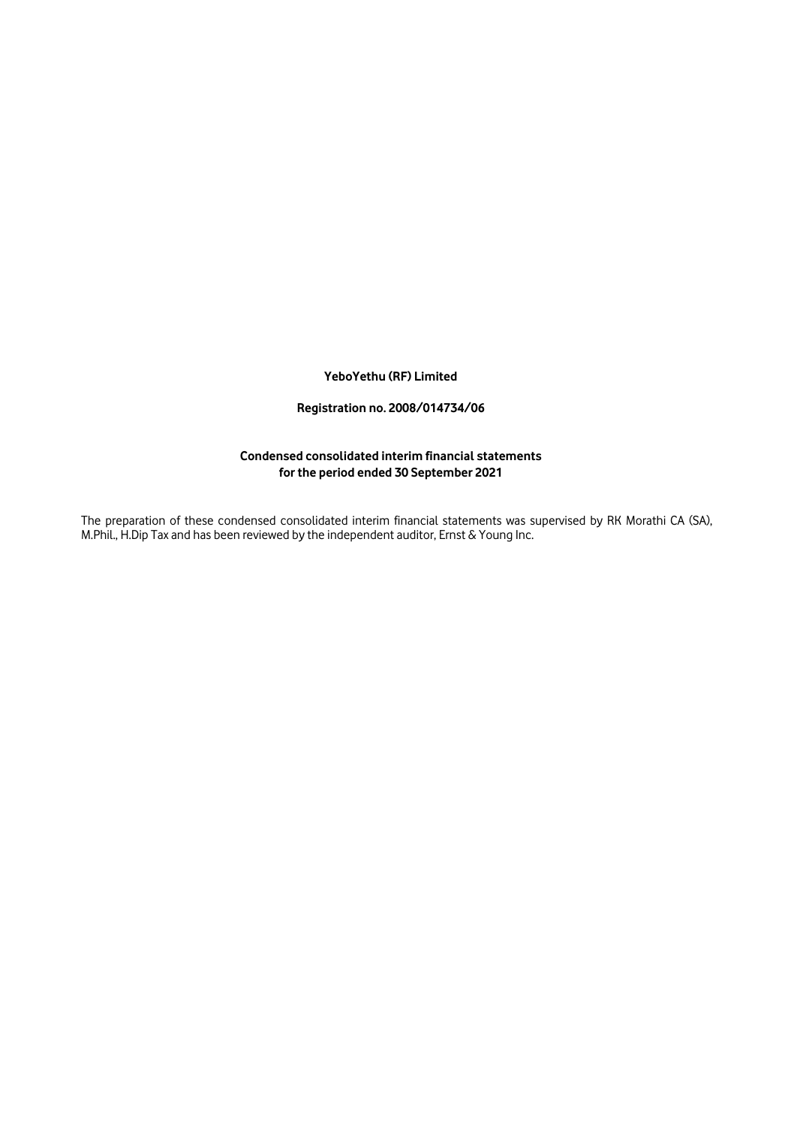#### **YeboYethu (RF) Limited**

### **Registration no. 2008/014734/06**

#### **Condensed consolidated interim financial statements for the period ended 30 September 2021**

The preparation of these condensed consolidated interim financial statements was supervised by RK Morathi CA (SA), M.Phil., H.Dip Tax and has been reviewed by the independent auditor, Ernst & Young Inc.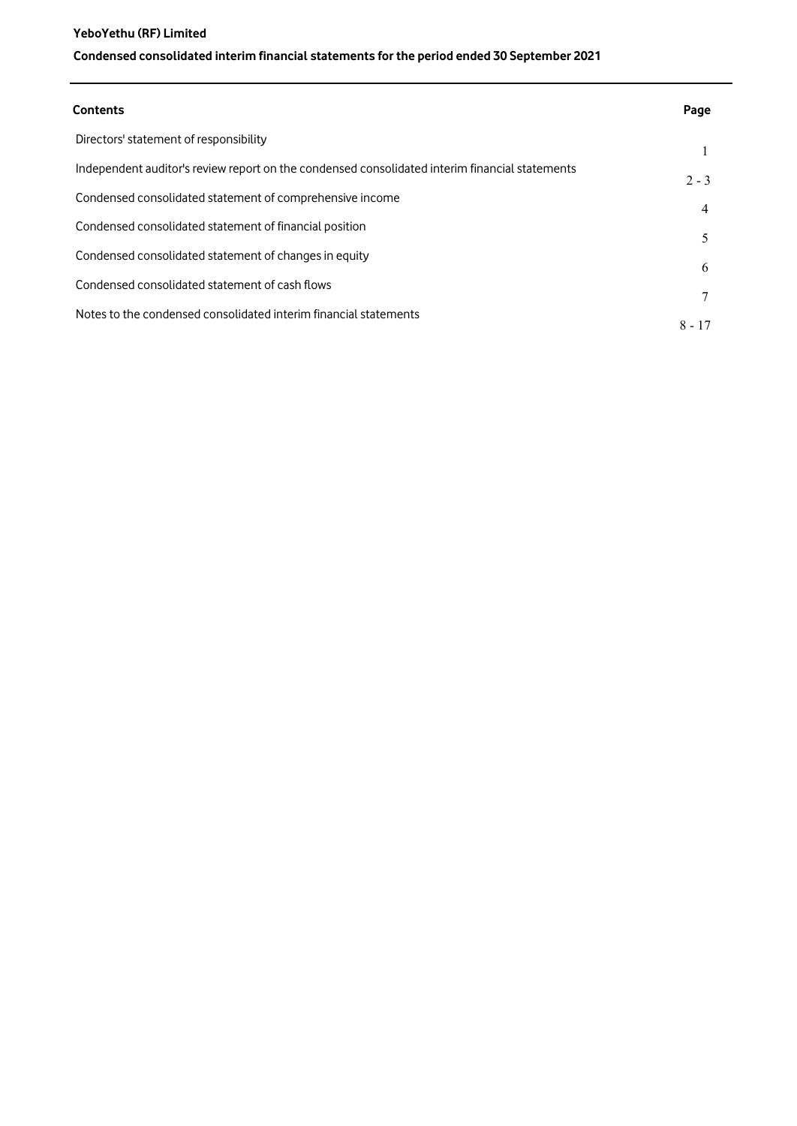# **YeboYethu (RF) Limited Condensed consolidated interim financial statements for the period ended 30 September 2021**

| Contents                                                                                       | Page     |
|------------------------------------------------------------------------------------------------|----------|
| Directors' statement of responsibility                                                         |          |
| Independent auditor's review report on the condensed consolidated interim financial statements | $2 - 3$  |
| Condensed consolidated statement of comprehensive income                                       | 4        |
| Condensed consolidated statement of financial position                                         | 5.       |
| Condensed consolidated statement of changes in equity                                          | 6        |
| Condensed consolidated statement of cash flows                                                 |          |
| Notes to the condensed consolidated interim financial statements                               |          |
|                                                                                                | $8 - 17$ |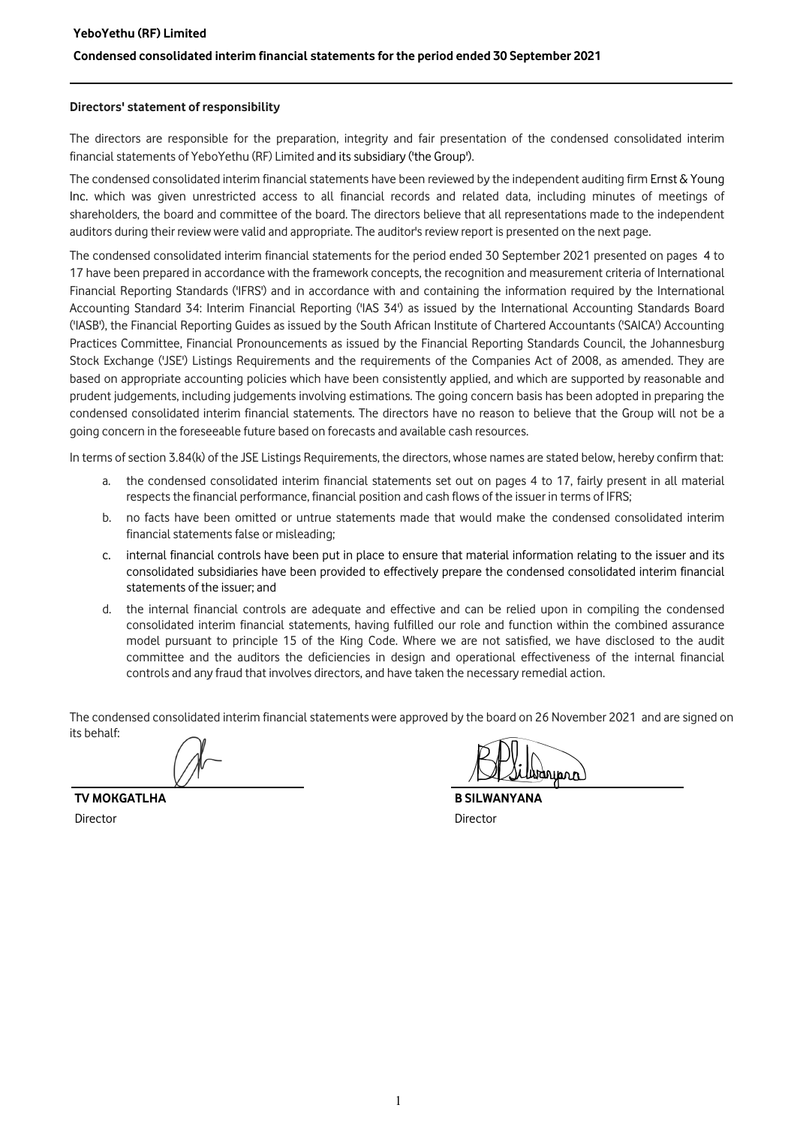#### Directors' statement of responsibility

The directors are responsible for the preparation, integrity and fair presentation of the condensed consolidated interim financial statements of YeboYethu (RF) Limited and its subsidiary ('the Group').

The condensed consolidated interim financial statements have been reviewed by the independent auditing firm Ernst  $\&$  Young Inc. which was given unrestricted access to all financial records and related data, including minutes of meetings of shareholders, the board and committee of the board. The directors believe that all representations made to the independent auditors during their review were valid and appropriate. The auditor's review report is presented on the next page.

The condensed consolidated interim financial statements for the period ended 30 September 2021 presented on pages 4 to 17 have been prepared in accordance with the framework concepts, the recognition and measurement criteria of International Financial Reporting Standards ('IFRS') and in accordance with and containing the information required by the International Accounting Standard 34: Interim Financial Reporting ('IAS 34') as issued by the International Accounting Standards Board ('IASB'), the Financial Reporting Guides as issued by the South African Institute of Chartered Accountants ('SAICA') Accounting Practices Committee, Financial Pronouncements as issued by the Financial Reporting Standards Council, the Johannesburg Stock Exchange ('JSE') Listings Requirements and the requirements of the Companies Act of 2008, as amended. They are based on appropriate accounting policies which have been consistently applied, and which are supported by reasonable and prudent judgements, including judgements involving estimations. The going concern basis has been adopted in preparing the condensed consolidated interim financial statements. The directors have no reason to believe that the Group will not be a going concern in the foreseeable future based on forecasts and available cash resources.

In terms of section 3.84(k) of the JSE Listings Requirements, the directors, whose names are stated below, hereby confirm that:

- a. the condensed consolidated interim financial statements set out on pages 4 to 17, fairly present in all material respects the financial performance, financial position and cash flows of the issuer in terms of IFRS;
- b. no facts have been omitted or untrue statements made that would make the condensed consolidated interim financial statements false or misleading;
- c. internal financial controls have been put in place to ensure that material information relating to the issuer and its consolidated subsidiaries have been provided to effectively prepare the condensed consolidated interim financial statements of the issuer; and
- d. the internal financial controls are adequate and effective and can be relied upon in compiling the condensed consolidated interim financial statements, having fulfilled our role and function within the combined assurance model pursuant to principle 15 of the King Code. Where we are not satisfied, we have disclosed to the audit committee and the auditors the deficiencies in design and operational effectiveness of the internal financial controls and any fraud that involves directors, and have taken the necessary remedial action.

The condensed consolidated interim financial statements were approved by the board on 26 November 2021 and are signed on its behalf:

TV MOKGATLHA B SILWANYANA Director Director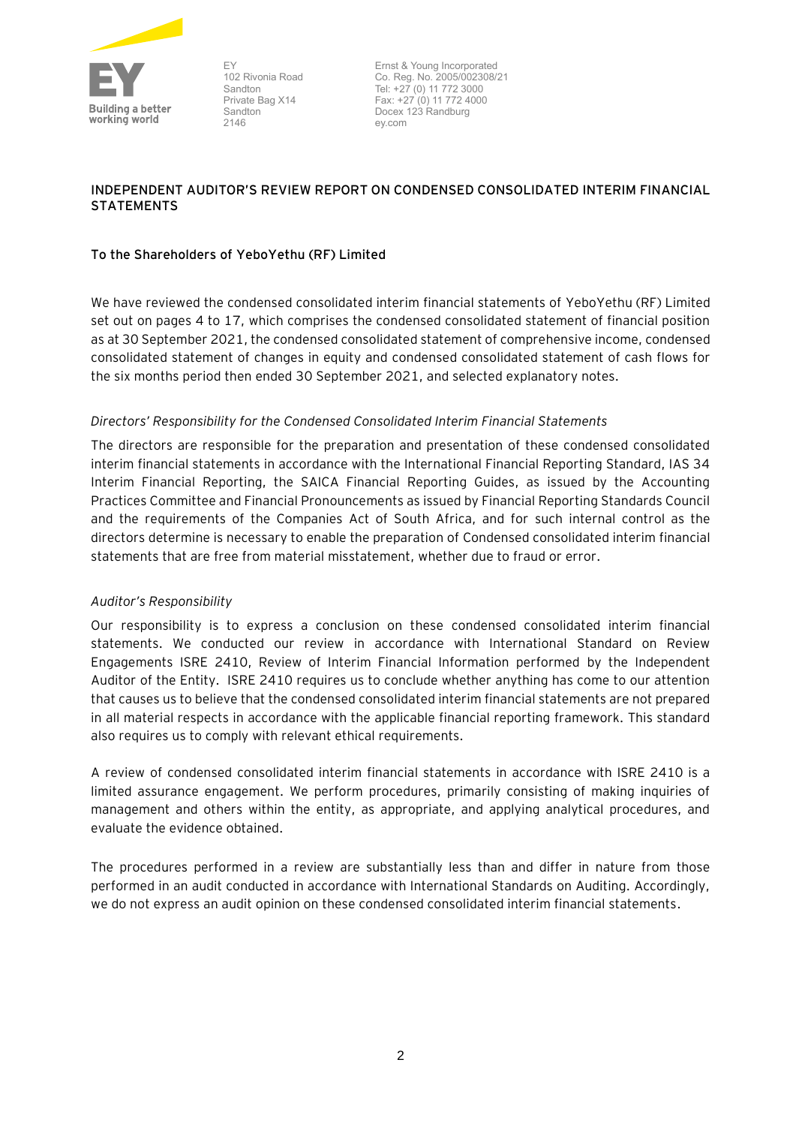

EY 102 Rivonia Road Sandton Private Bag X14 Sandton 2146

Ernst & Young Incorporated Co. Reg. No. 2005/002308/21 Tel: +27 (0) 11 772 3000 Fax: +27 (0) 11 772 4000 Docex 123 Randburg ey.com

# **INDEPENDENT AUDITOR'S REVIEW REPORT ON CONDENSED CONSOLIDATED INTERIM FINANCIAL STATEMENTS**

# **To the Shareholders of YeboYethu (RF) Limited**

We have reviewed the condensed consolidated interim financial statements of YeboYethu (RF) Limited set out on pages 4 to 17, which comprises the condensed consolidated statement of financial position as at 30 September 2021, the condensed consolidated statement of comprehensive income, condensed consolidated statement of changes in equity and condensed consolidated statement of cash flows for the six months period then ended 30 September 2021, and selected explanatory notes.

# *Directors' Responsibility for the Condensed Consolidated Interim Financial Statements*

The directors are responsible for the preparation and presentation of these condensed consolidated interim financial statements in accordance with the International Financial Reporting Standard, IAS 34 Interim Financial Reporting, the SAICA Financial Reporting Guides, as issued by the Accounting Practices Committee and Financial Pronouncements as issued by Financial Reporting Standards Council and the requirements of the Companies Act of South Africa, and for such internal control as the directors determine is necessary to enable the preparation of Condensed consolidated interim financial statements that are free from material misstatement, whether due to fraud or error.

## *Auditor's Responsibility*

Our responsibility is to express a conclusion on these condensed consolidated interim financial statements. We conducted our review in accordance with International Standard on Review Engagements ISRE 2410, Review of Interim Financial Information performed by the Independent Auditor of the Entity. ISRE 2410 requires us to conclude whether anything has come to our attention that causes us to believe that the condensed consolidated interim financial statements are not prepared in all material respects in accordance with the applicable financial reporting framework. This standard also requires us to comply with relevant ethical requirements.

A review of condensed consolidated interim financial statements in accordance with ISRE 2410 is a limited assurance engagement. We perform procedures, primarily consisting of making inquiries of management and others within the entity, as appropriate, and applying analytical procedures, and evaluate the evidence obtained.

The procedures performed in a review are substantially less than and differ in nature from those performed in an audit conducted in accordance with International Standards on Auditing. Accordingly, we do not express an audit opinion on these condensed consolidated interim financial statements.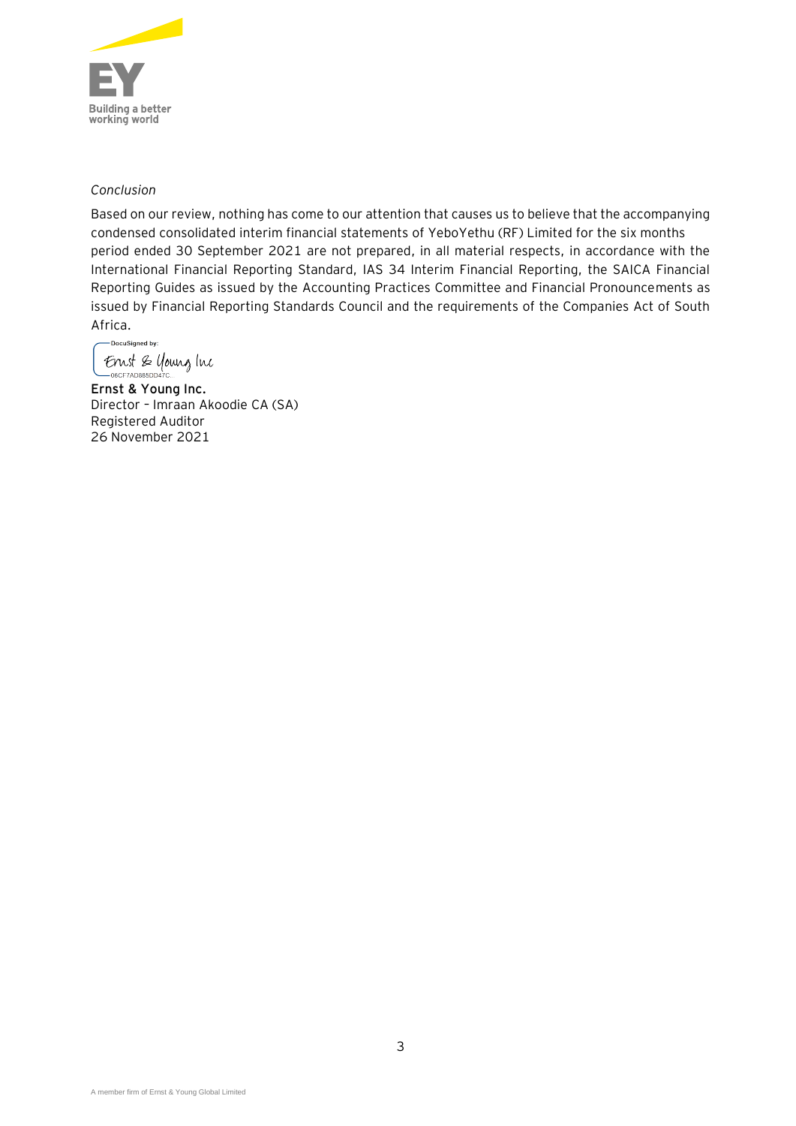

# *Conclusion*

Based on our review, nothing has come to our attention that causes us to believe that the accompanying condensed consolidated interim financial statements of YeboYethu (RF) Limited for the six months period ended 30 September 2021 are not prepared, in all material respects, in accordance with the International Financial Reporting Standard, IAS 34 Interim Financial Reporting, the SAICA Financial Reporting Guides as issued by the Accounting Practices Committee and Financial Pronouncements as issued by Financial Reporting Standards Council and the requirements of the Companies Act of South Africa.

-<br>DocuSigned by: Ernst & young Inc -06CF7AD885DD47C...

**Ernst & Young Inc.** Director – Imraan Akoodie CA (SA) Registered Auditor 26 November 2021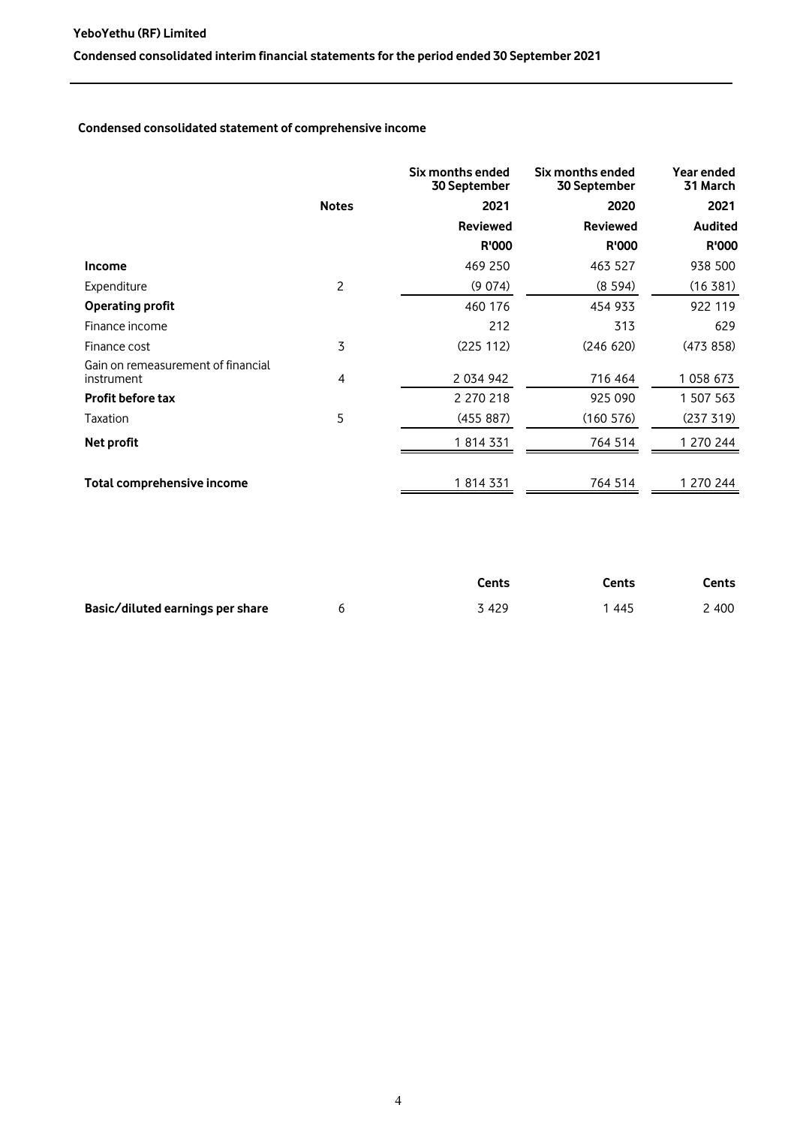## **Condensed consolidated statement of comprehensive income**

|                                                  |                | Six months ended<br>30 September | Six months ended<br><b>30 September</b> | Year ended<br>31 March |
|--------------------------------------------------|----------------|----------------------------------|-----------------------------------------|------------------------|
|                                                  | <b>Notes</b>   | 2021                             | 2020                                    | 2021                   |
|                                                  |                | <b>Reviewed</b>                  | <b>Reviewed</b>                         | <b>Audited</b>         |
|                                                  |                | <b>R'000</b>                     | <b>R'000</b>                            | <b>R'000</b>           |
| <b>Income</b>                                    |                | 469 250                          | 463 527                                 | 938 500                |
| Expenditure                                      | $\overline{c}$ | (9 074)                          | (8594)                                  | (16381)                |
| <b>Operating profit</b>                          |                | 460 176                          | 454 933                                 | 922 119                |
| Finance income                                   |                | 212                              | 313                                     | 629                    |
| Finance cost                                     | 3              | (225 112)                        | (246 620)                               | (473858)               |
| Gain on remeasurement of financial<br>instrument | 4              | 2 034 942                        | 716 464                                 | 1 058 673              |
| <b>Profit before tax</b>                         |                | 2 270 218                        | 925 090                                 | 1 507 563              |
| Taxation                                         | 5              | (455 887)                        | (160 576)                               | (237 319)              |
| Net profit                                       |                | 1 814 331                        | 764 514                                 | 1 270 244              |
| Total comprehensive income                       |                | 1 814 331                        | 764 514                                 | 1 270 244              |

|                                  | Cents | Cents | Cents |
|----------------------------------|-------|-------|-------|
| Basic/diluted earnings per share | 3 429 | 1 445 | 2 400 |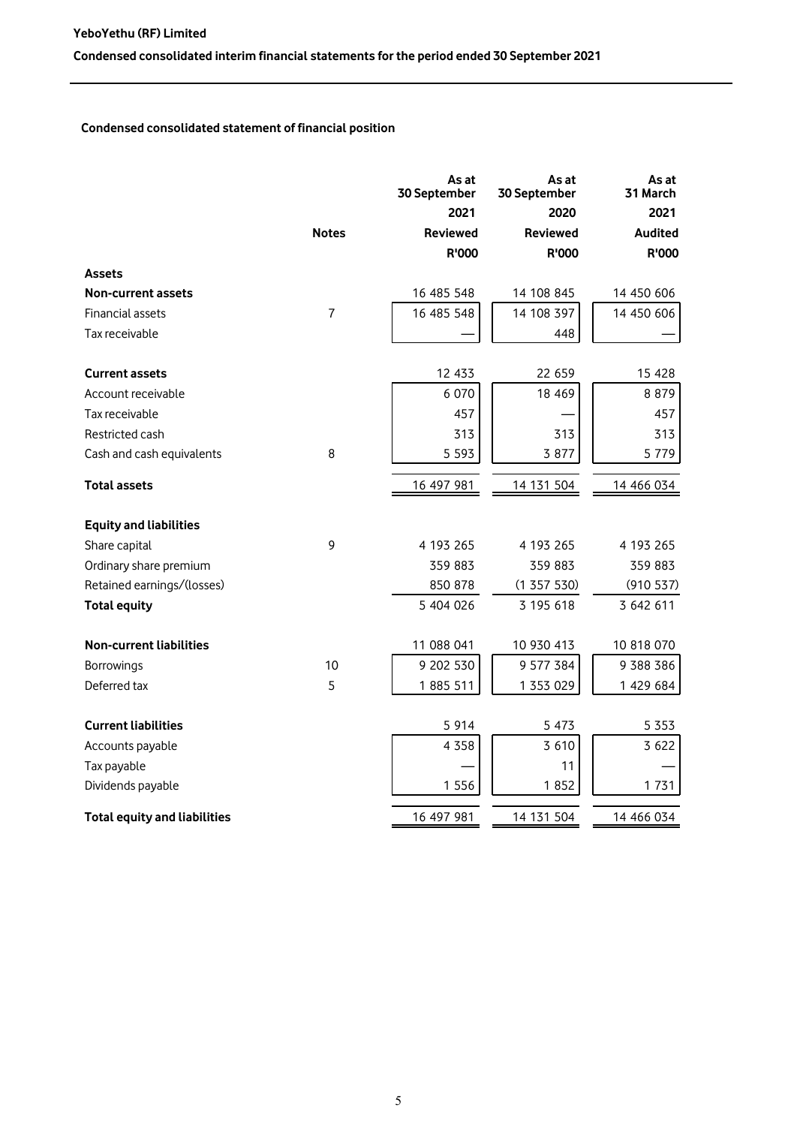# **Condensed consolidated statement of financial position**

|                                     |                | As at<br>30 September | As at<br>30 September | As at<br>31 March |
|-------------------------------------|----------------|-----------------------|-----------------------|-------------------|
|                                     |                | 2021                  | 2020                  | 2021              |
|                                     | <b>Notes</b>   | <b>Reviewed</b>       | <b>Reviewed</b>       | <b>Audited</b>    |
|                                     |                | R'000                 | R'000                 | R'000             |
| <b>Assets</b>                       |                |                       |                       |                   |
| <b>Non-current assets</b>           |                | 16 485 548            | 14 108 845            | 14 450 606        |
| Financial assets                    | $\overline{7}$ | 16 485 548            | 14 108 397            | 14 450 606        |
| Tax receivable                      |                |                       | 448                   |                   |
| <b>Current assets</b>               |                | 12 433                | 22 659                | 15 428            |
| Account receivable                  |                | 6 0 7 0               | 18 4 69               | 8 8 7 9           |
| Tax receivable                      |                | 457                   |                       | 457               |
| Restricted cash                     |                | 313                   | 313                   | 313               |
| Cash and cash equivalents           | 8              | 5 5 9 3               | 3 877                 | 5 7 7 9           |
| Total assets                        |                | 16 497 981            | 14 131 504            | 14 466 034        |
| <b>Equity and liabilities</b>       |                |                       |                       |                   |
| Share capital                       | 9              | 4 193 265             | 4 193 265             | 4 193 265         |
| Ordinary share premium              |                | 359 883               | 359 883               | 359 883           |
| Retained earnings/(losses)          |                | 850 878               | (1357530)             | (910 537)         |
| <b>Total equity</b>                 |                | 5 404 026             | 3 195 618             | 3 642 611         |
| <b>Non-current liabilities</b>      |                | 11 088 041            | 10 930 413            | 10 818 070        |
| Borrowings                          | 10             | 9 202 530             | 9 577 384             | 9 388 386         |
| Deferred tax                        | 5              | 1885 511              | 1 353 029             | 1 429 684         |
| <b>Current liabilities</b>          |                | 5 9 1 4               | 5 4 7 3               | 5 3 5 3           |
| Accounts payable                    |                | 4 3 5 8               | 3 6 1 0               | 3 6 2 2           |
| Tax payable                         |                |                       | 11                    |                   |
| Dividends payable                   |                | 1 5 5 6               | 1852                  | 1731              |
| <b>Total equity and liabilities</b> |                | 16 497 981            | 14 131 504            | 14 466 034        |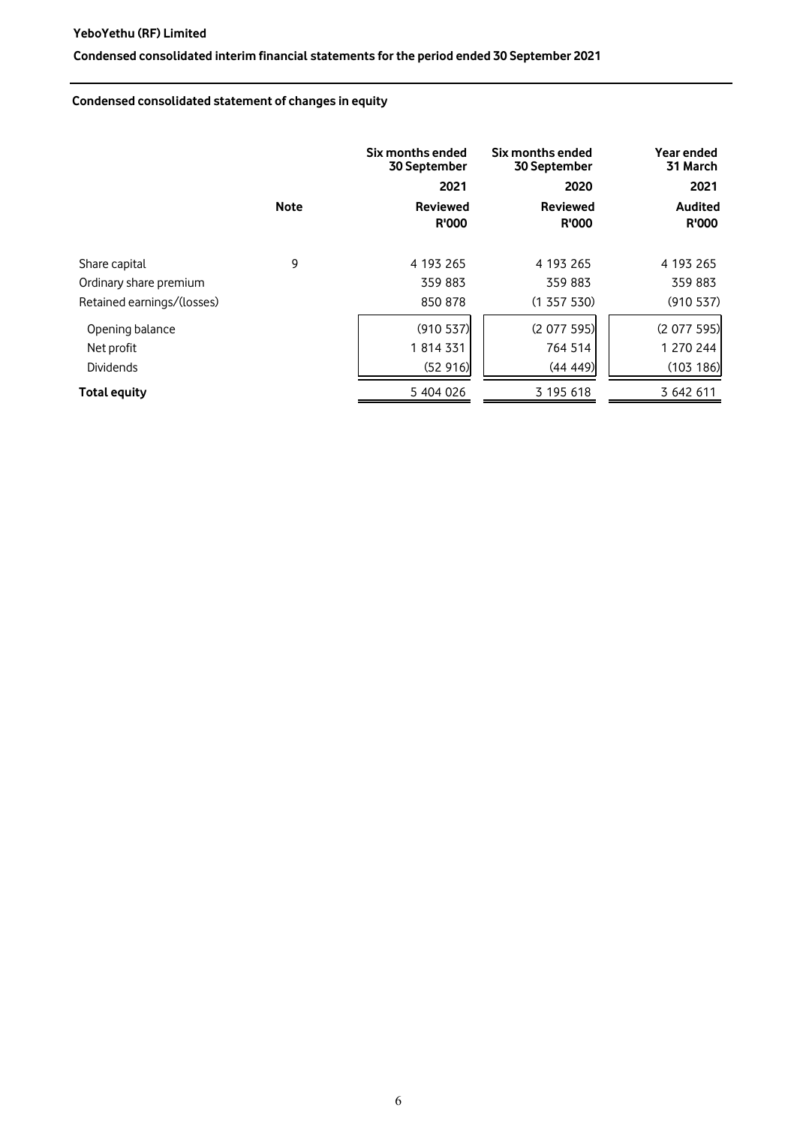## **YeboYethu (RF) Limited**

# **Condensed consolidated interim financial statements for the period ended 30 September 2021**

# **Condensed consolidated statement of changes in equity**

|                            | <b>Note</b> | Six months ended<br>30 September<br>2021<br><b>Reviewed</b><br><b>R'000</b> | Six months ended<br>30 September<br>2020<br><b>Reviewed</b><br><b>R'000</b> | Year ended<br>31 March<br>2021<br><b>Audited</b><br><b>R'000</b> |
|----------------------------|-------------|-----------------------------------------------------------------------------|-----------------------------------------------------------------------------|------------------------------------------------------------------|
| Share capital              | 9           | 4 193 265                                                                   | 4 193 265                                                                   | 4 193 265                                                        |
| Ordinary share premium     |             | 359 883                                                                     | 359 883                                                                     | 359 883                                                          |
| Retained earnings/(losses) |             | 850 878                                                                     | (1357530)                                                                   | (910 537)                                                        |
| Opening balance            |             | (910 537)                                                                   | (2077595)                                                                   | (2 077 595)                                                      |
| Net profit                 |             | 1 814 331                                                                   | 764 514                                                                     | 1 270 244                                                        |
| Dividends                  |             | (52916)                                                                     | (44 449)                                                                    | (103 186)                                                        |
| <b>Total equity</b>        |             | 5 404 026                                                                   | 3 195 618                                                                   | 3 642 611                                                        |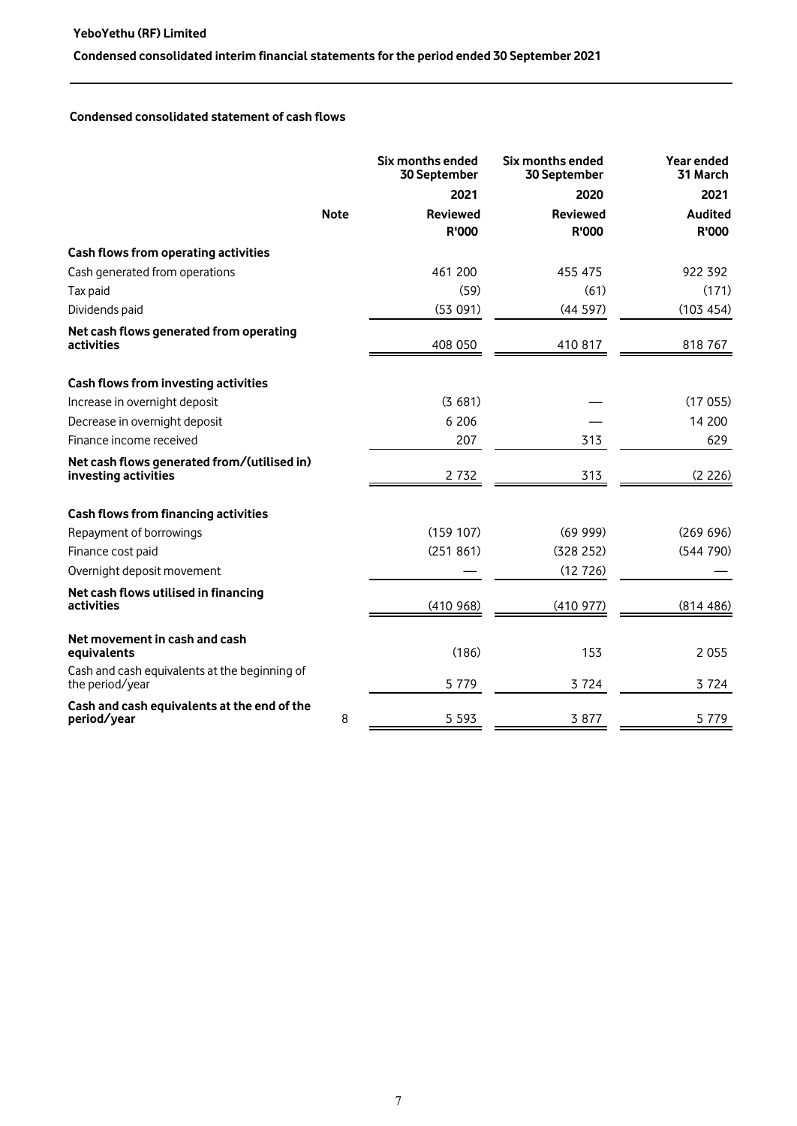## **YeboYethu (RF) Limited**

# **Condensed consolidated interim financial statements for the period ended 30 September 2021**

## **Condensed consolidated statement of cash flows**

|                                                                     |             | Six months ended<br>30 September | Six months ended<br>30 September | Year ended<br>31 March  |
|---------------------------------------------------------------------|-------------|----------------------------------|----------------------------------|-------------------------|
|                                                                     |             | 2021                             | 2020                             | 2021                    |
|                                                                     | <b>Note</b> | <b>Reviewed</b><br><b>R'000</b>  | <b>Reviewed</b><br><b>R'000</b>  | <b>Audited</b><br>R'000 |
| Cash flows from operating activities                                |             |                                  |                                  |                         |
| Cash generated from operations                                      |             | 461 200                          | 455 475                          | 922 392                 |
| Tax paid                                                            |             | (59)                             | (61)                             | (171)                   |
| Dividends paid                                                      |             | (53091)                          | (44597)                          | (103 454)               |
| Net cash flows generated from operating<br>activities               |             | 408 050                          | 410 817                          | 818 767                 |
| Cash flows from investing activities                                |             |                                  |                                  |                         |
| Increase in overnight deposit                                       |             | (3681)                           |                                  | (17055)                 |
| Decrease in overnight deposit                                       |             | 6 20 6                           |                                  | 14 200                  |
| Finance income received                                             |             | 207                              | 313                              | 629                     |
| Net cash flows generated from/(utilised in)<br>investing activities |             | 2 7 3 2                          | 313                              | (2 226)                 |
| Cash flows from financing activities                                |             |                                  |                                  |                         |
| Repayment of borrowings                                             |             | (159 107)                        | (6999)                           | (269 696)               |
| Finance cost paid                                                   |             | (251 861)                        | (328 252)                        | (544 790)               |
| Overnight deposit movement                                          |             |                                  | (12726)                          |                         |
| Net cash flows utilised in financing<br>activities                  |             | (410968)                         | (410977)                         | (814486)                |
| Net movement in cash and cash<br>equivalents                        |             | (186)                            | 153                              | 2 0 5 5                 |
| Cash and cash equivalents at the beginning of<br>the period/year    |             | 5 7 7 9                          | 3 7 2 4                          | 3 7 2 4                 |
| Cash and cash equivalents at the end of the<br>period/year          | 8           | 5 5 9 3                          | 3 8 7 7                          | 5 7 7 9                 |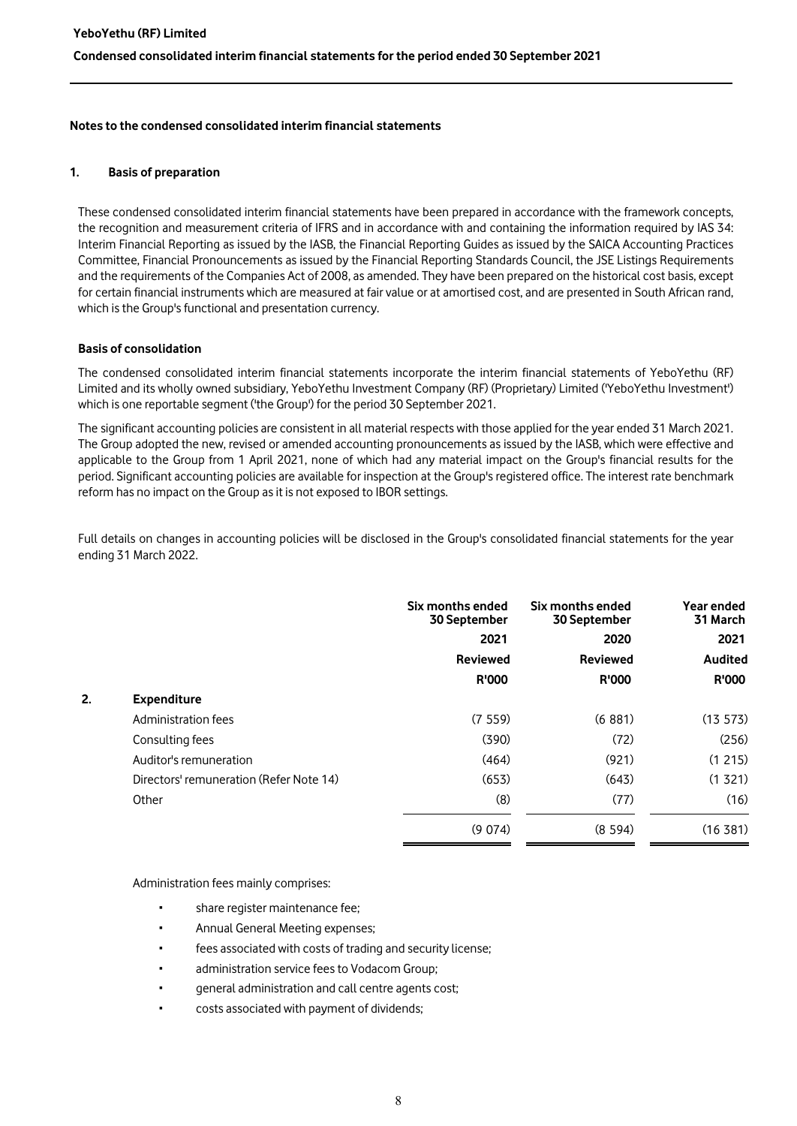## **1. Basis of preparation**

These condensed consolidated interim financial statements have been prepared in accordance with the framework concepts, the recognition and measurement criteria of IFRS and in accordance with and containing the information required by IAS 34: Interim Financial Reporting as issued by the IASB, the Financial Reporting Guides as issued by the SAICA Accounting Practices Committee, Financial Pronouncements as issued by the Financial Reporting Standards Council, the JSE Listings Requirements and the requirements of the Companies Act of 2008, as amended. They have been prepared on the historical cost basis, except for certain financial instruments which are measured at fair value or at amortised cost, and are presented in South African rand, which is the Group's functional and presentation currency.

## **Basis of consolidation**

The condensed consolidated interim financial statements incorporate the interim financial statements of YeboYethu (RF) Limited and its wholly owned subsidiary, YeboYethu Investment Company (RF) (Proprietary) Limited ('YeboYethu Investment') which is one reportable segment ('the Group') for the period 30 September 2021.

The significant accounting policies are consistent in all material respects with those applied for the year ended 31 March 2021. The Group adopted the new, revised or amended accounting pronouncements as issued by the IASB, which were effective and applicable to the Group from 1 April 2021, none of which had any material impact on the Group's financial results for the period. Significant accounting policies are available for inspection at the Group's registered office. The interest rate benchmark reform has no impact on the Group as it is not exposed to IBOR settings.

Full details on changes in accounting policies will be disclosed in the Group's consolidated financial statements for the year ending 31 March 2022.

|    |                                         | Six months ended<br>30 September | Six months ended<br>30 September | Year ended<br>31 March |
|----|-----------------------------------------|----------------------------------|----------------------------------|------------------------|
|    |                                         | 2021                             | 2020                             | 2021                   |
|    |                                         | <b>Reviewed</b>                  | <b>Reviewed</b>                  | <b>Audited</b>         |
|    |                                         | <b>R'000</b>                     | <b>R'000</b>                     | <b>R'000</b>           |
| 2. | <b>Expenditure</b>                      |                                  |                                  |                        |
|    | Administration fees                     | (7559)                           | (6881)                           | (13 573)               |
|    | Consulting fees                         | (390)                            | (72)                             | (256)                  |
|    | Auditor's remuneration                  | (464)                            | (921)                            | (1215)                 |
|    | Directors' remuneration (Refer Note 14) | (653)                            | (643)                            | (1 321)                |
|    | Other                                   | (8)                              | (77)                             | (16)                   |
|    |                                         | (9074)                           | (8, 594)                         | (16, 381)              |

Administration fees mainly comprises:

- share register maintenance fee:
- Annual General Meeting expenses;
- fees associated with costs of trading and security license;
- administration service fees to Vodacom Group;
- aeneral administration and call centre agents cost:
- costs associated with payment of dividends;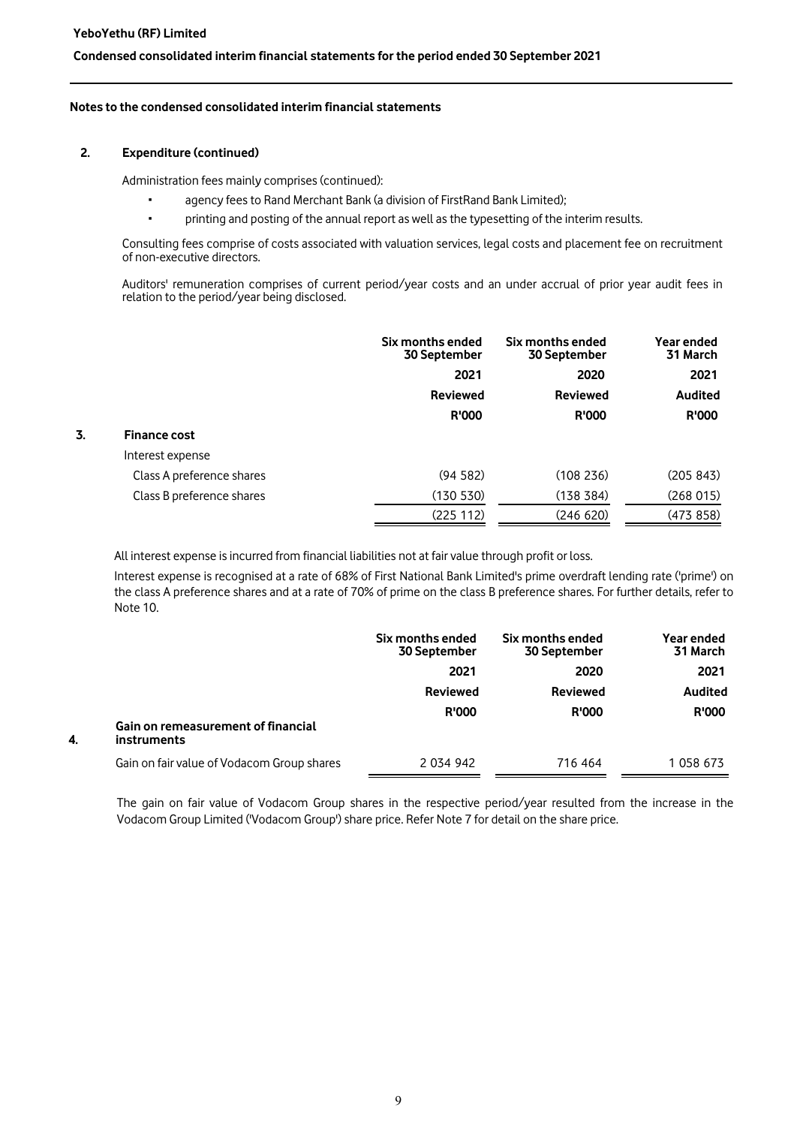**4.** 

#### **Condensed consolidated interim financial statements for the period ended 30 September 2021**

#### **Notes to the condensed consolidated interim financial statements**

#### **2. Expenditure (continued)**

Administration fees mainly comprises (continued):

- agency fees to Rand Merchant Bank (a division of FirstRand Bank Limited);
- printing and posting of the annual report as well as the typesetting of the interim results.

Consulting fees comprise of costs associated with valuation services, legal costs and placement fee on recruitment of non-executive directors.

Auditors' remuneration comprises of current period/year costs and an under accrual of prior year audit fees in relation to the period/year being disclosed.

|    |                           | Six months ended<br>30 September | Six months ended<br>30 September | Year ended<br>31 March |
|----|---------------------------|----------------------------------|----------------------------------|------------------------|
|    |                           | 2021                             | 2020                             | 2021                   |
|    |                           | <b>Reviewed</b>                  | <b>Reviewed</b>                  | <b>Audited</b>         |
|    |                           | <b>R'000</b>                     | <b>R'000</b>                     | <b>R'000</b>           |
| 3. | <b>Finance cost</b>       |                                  |                                  |                        |
|    | Interest expense          |                                  |                                  |                        |
|    | Class A preference shares | (94582)                          | (108236)                         | (205 843)              |
|    | Class B preference shares | (130 530)                        | (138 384)                        | (268015)               |
|    |                           | (225 112)                        | (246 620)                        | (473858)               |
|    |                           |                                  |                                  |                        |

All interest expense is incurred from financial liabilities not at fair value through profit or loss.

Interest expense is recognised at a rate of 68% of First National Bank Limited's prime overdraft lending rate ('prime') on the class A preference shares and at a rate of 70% of prime on the class B preference shares. For further details, refer to Note 10.

|                                                          | Six months ended<br><b>30 September</b> | Six months ended<br><b>30 September</b> | Year ended<br>31 March |
|----------------------------------------------------------|-----------------------------------------|-----------------------------------------|------------------------|
|                                                          | 2021                                    | 2020                                    | 2021                   |
|                                                          | <b>Reviewed</b>                         | <b>Reviewed</b>                         | Audited                |
|                                                          | <b>R'000</b>                            | <b>R'000</b>                            | <b>R'000</b>           |
| Gain on remeasurement of financial<br><b>instruments</b> |                                         |                                         |                        |
| Gain on fair value of Vodacom Group shares               | 2 0 34 9 42                             | 716 464                                 | 1 058 673              |

The gain on fair value of Vodacom Group shares in the respective period/year resulted from the increase in the Vodacom Group Limited ('Vodacom Group') share price. Refer Note 7 for detail on the share price.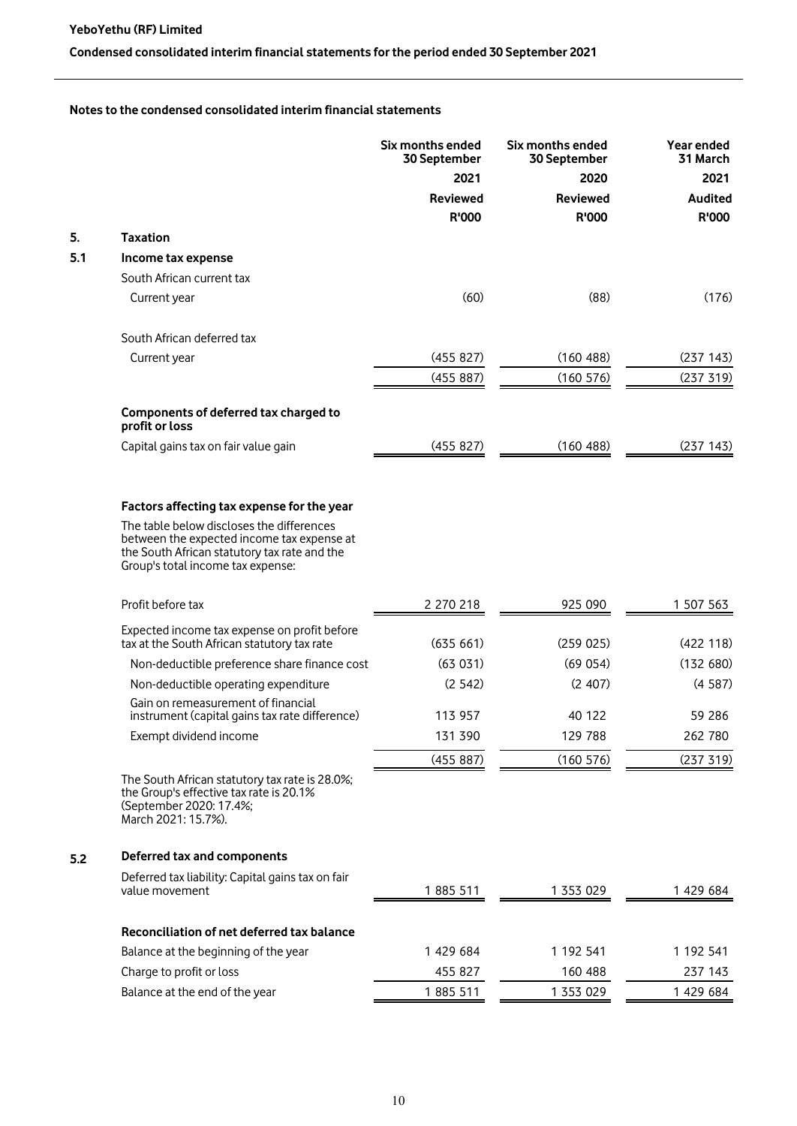# **Condensed consolidated interim financial statements for the period ended 30 September 2021**

## **Notes to the condensed consolidated interim financial statements**

|     |                                                                                                                                                                              | Six months ended<br>30 September | Six months ended<br>30 September | Year ended<br>31 March |
|-----|------------------------------------------------------------------------------------------------------------------------------------------------------------------------------|----------------------------------|----------------------------------|------------------------|
|     |                                                                                                                                                                              | 2021                             | 2020                             | 2021                   |
|     |                                                                                                                                                                              | <b>Reviewed</b>                  | <b>Reviewed</b>                  | <b>Audited</b>         |
|     |                                                                                                                                                                              | <b>R'000</b>                     | R'000                            | R'000                  |
| 5.  | <b>Taxation</b>                                                                                                                                                              |                                  |                                  |                        |
| 5.1 | Income tax expense                                                                                                                                                           |                                  |                                  |                        |
|     | South African current tax                                                                                                                                                    |                                  |                                  |                        |
|     | Current year                                                                                                                                                                 | (60)                             | (88)                             | (176)                  |
|     | South African deferred tax                                                                                                                                                   |                                  |                                  |                        |
|     | Current year                                                                                                                                                                 | (455 827)                        | (160 488)                        | (237 143)              |
|     |                                                                                                                                                                              | (455 887)                        | (160 576)                        | (237 319)              |
|     | Components of deferred tax charged to<br>profit or loss                                                                                                                      |                                  |                                  |                        |
|     | Capital gains tax on fair value gain                                                                                                                                         | (455 827)                        | (160 488)                        | (237 143)              |
|     |                                                                                                                                                                              |                                  |                                  |                        |
|     | Factors affecting tax expense for the year                                                                                                                                   |                                  |                                  |                        |
|     | The table below discloses the differences<br>between the expected income tax expense at<br>the South African statutory tax rate and the<br>Group's total income tax expense: |                                  |                                  |                        |
|     | Profit before tax                                                                                                                                                            | 2 270 218                        | 925 090                          | 1 507 563              |
|     | Expected income tax expense on profit before<br>tax at the South African statutory tax rate                                                                                  | (635661)                         | (259025)                         | (422118)               |
|     | Non-deductible preference share finance cost                                                                                                                                 | (63 031)                         | (69054)                          | (132 680)              |
|     | Non-deductible operating expenditure                                                                                                                                         | (2542)                           | (2407)                           | (4587)                 |
|     | Gain on remeasurement of financial<br>instrument (capital gains tax rate difference)                                                                                         | 113 957                          | 40 122                           | 59 286                 |
|     | Exempt dividend income                                                                                                                                                       | 131 390                          | 129 788                          | 262 780                |
|     |                                                                                                                                                                              | (455 887)                        | (160 576)                        | (237 319)              |
|     | The South African statutory tax rate is 28.0%;<br>the Group's effective tax rate is 20.1%<br>(September 2020: 17.4%;<br>March 2021: 15.7%).                                  |                                  |                                  |                        |
| 5.2 | Deferred tax and components                                                                                                                                                  |                                  |                                  |                        |
|     | Deferred tax liability: Capital gains tax on fair<br>value movement                                                                                                          | 1885 511                         | 1 353 029                        | 1 429 684              |
|     | Reconciliation of net deferred tax balance                                                                                                                                   |                                  |                                  |                        |
|     | Balance at the beginning of the year                                                                                                                                         | 1 429 684                        | 1 192 541                        | 1 192 541              |
|     | Charge to profit or loss                                                                                                                                                     | 455 827                          | 160 488                          | 237 143                |
|     | Balance at the end of the year                                                                                                                                               | 1885 511                         | 1 353 029                        | 1 429 684              |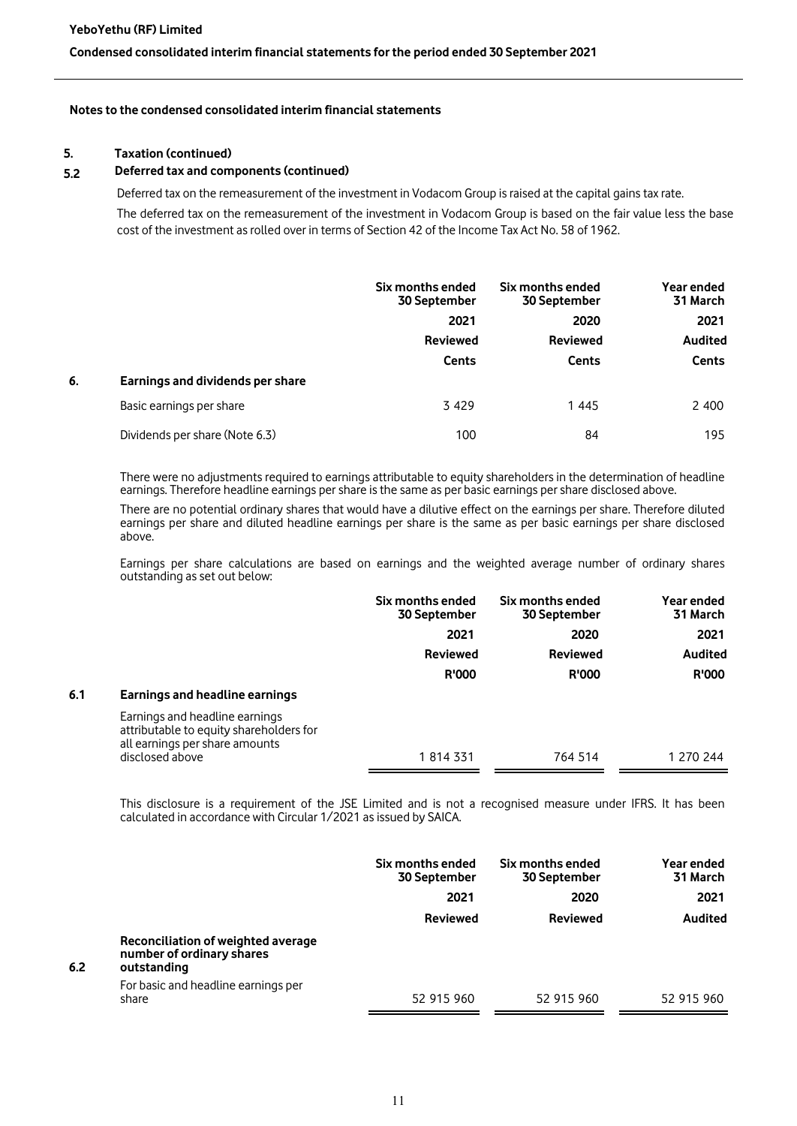## **5. Taxation (continued)**

## **5.2 Deferred tax and components (continued)**

Deferred tax on the remeasurement of the investment in Vodacom Group is raised at the capital gains tax rate.

The deferred tax on the remeasurement of the investment in Vodacom Group is based on the fair value less the base cost of the investment as rolled over in terms of Section 42 of the Income Tax Act No. 58 of 1962.

|    |                                  | Six months ended<br>30 September | Six months ended<br>30 September | Year ended<br>31 March |
|----|----------------------------------|----------------------------------|----------------------------------|------------------------|
|    |                                  | 2021                             | 2020                             | 2021                   |
|    |                                  | <b>Reviewed</b>                  | <b>Reviewed</b>                  | <b>Audited</b>         |
|    |                                  | <b>Cents</b>                     | <b>Cents</b>                     | <b>Cents</b>           |
| 6. | Earnings and dividends per share |                                  |                                  |                        |
|    | Basic earnings per share         | 3 4 2 9                          | 1445                             | 2 400                  |
|    | Dividends per share (Note 6.3)   | 100                              | 84                               | 195                    |

There were no adjustments required to earnings attributable to equity shareholders in the determination of headline earnings. Therefore headline earnings per share is the same as per basic earnings per share disclosed above.

There are no potential ordinary shares that would have a dilutive effect on the earnings per share. Therefore diluted earnings per share and diluted headline earnings per share is the same as per basic earnings per share disclosed above.

Earnings per share calculations are based on earnings and the weighted average number of ordinary shares outstanding as set out below:

|     |                                                                                                             | Six months ended<br>30 September | Six months ended<br>30 September | Year ended<br>31 March |
|-----|-------------------------------------------------------------------------------------------------------------|----------------------------------|----------------------------------|------------------------|
|     |                                                                                                             | 2021                             | 2020                             | 2021                   |
|     |                                                                                                             | <b>Reviewed</b>                  | <b>Reviewed</b>                  | <b>Audited</b>         |
|     |                                                                                                             | <b>R'000</b>                     | <b>R'000</b>                     | <b>R'000</b>           |
| 6.1 | Earnings and headline earnings                                                                              |                                  |                                  |                        |
|     | Earnings and headline earnings<br>attributable to equity shareholders for<br>all earnings per share amounts |                                  |                                  |                        |
|     | disclosed above                                                                                             | 1 814 331                        | 764 514                          | 1 270 244              |

This disclosure is a requirement of the JSE Limited and is not a recognised measure under IFRS. It has been calculated in accordance with Circular 1/2021 as issued by SAICA.

|     |                                                                                | Six months ended<br>30 September | Six months ended<br><b>30 September</b> | Year ended<br>31 March |
|-----|--------------------------------------------------------------------------------|----------------------------------|-----------------------------------------|------------------------|
|     |                                                                                | 2021                             | 2020                                    | 2021                   |
|     |                                                                                | <b>Reviewed</b>                  | <b>Reviewed</b>                         | <b>Audited</b>         |
| 6.2 | Reconciliation of weighted average<br>number of ordinary shares<br>outstanding |                                  |                                         |                        |
|     | For basic and headline earnings per<br>share                                   | 52 915 960                       | 52 915 960                              | 52 915 960             |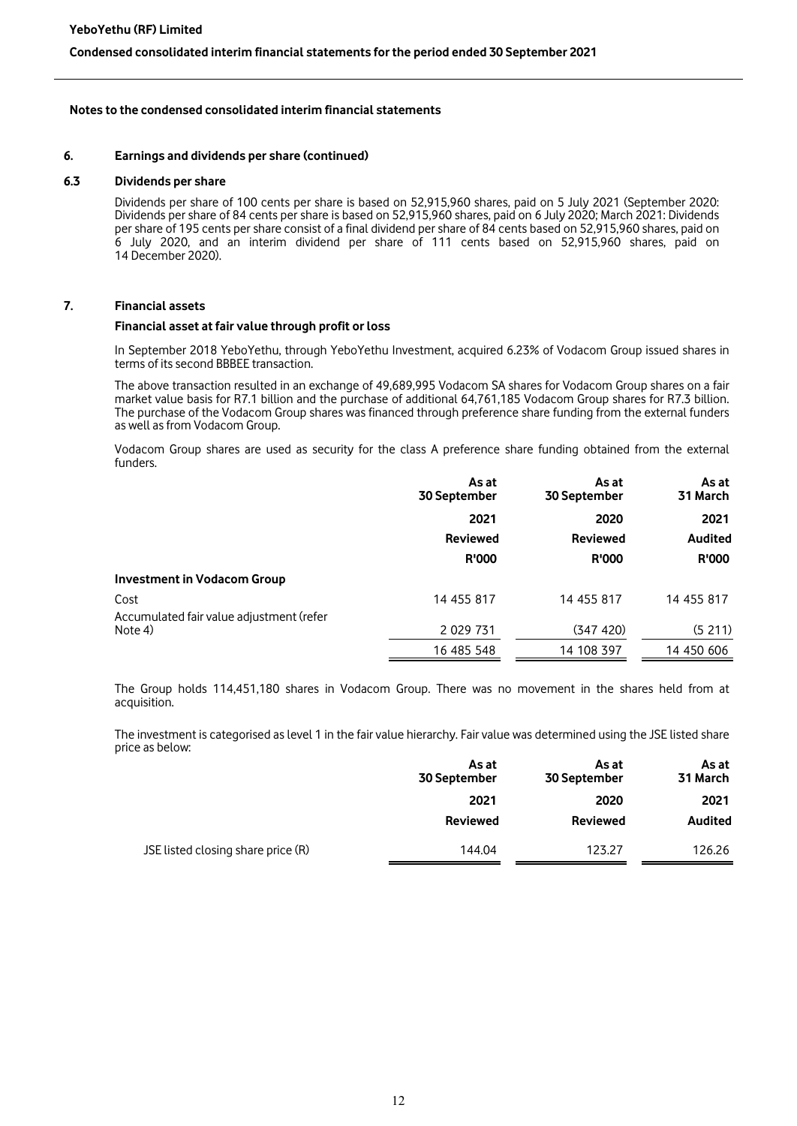#### **6. Earnings and dividends per share (continued)**

#### **6.3 Dividends per share**

Dividends per share of 100 cents per share is based on 52,915,960 shares, paid on 5 July 2021 (September 2020: Dividends per share of 84 cents per share is based on 52,915,960 shares, paid on 6 July 2020; March 2021: Dividends per share of 195 cents per share consist of a final dividend per share of 84 cents based on 52,915,960 shares, paid on 6 July 2020, and an interim dividend per share of 111 cents based on 52,915,960 shares, paid on 14 December 2020).

## **7. Financial assets**

#### **Financial asset at fair value through profit or loss**

In September 2018 YeboYethu, through YeboYethu Investment, acquired 6.23% of Vodacom Group issued shares in terms of its second BBBEE transaction.

The above transaction resulted in an exchange of 49,689,995 Vodacom SA shares for Vodacom Group shares on a fair market value basis for R7.1 billion and the purchase of additional 64,761,185 Vodacom Group shares for R7.3 billion. The purchase of the Vodacom Group shares was financed through preference share funding from the external funders as well as from Vodacom Group.

Vodacom Group shares are used as security for the class A preference share funding obtained from the external funders.

|                                          | As at<br>30 September | As at<br>30 September | As at<br>31 March |
|------------------------------------------|-----------------------|-----------------------|-------------------|
|                                          | 2021                  | 2020                  | 2021              |
|                                          | <b>Reviewed</b>       | <b>Reviewed</b>       | <b>Audited</b>    |
|                                          | <b>R'000</b>          | <b>R'000</b>          | <b>R'000</b>      |
| <b>Investment in Vodacom Group</b>       |                       |                       |                   |
| Cost                                     | 14 455 817            | 14 455 817            | 14 455 817        |
| Accumulated fair value adjustment (refer |                       |                       |                   |
| Note 4)                                  | 2 0 29 7 31           | (347 420)             | (5211)            |
|                                          | 16 485 548            | 14 108 397            | 14 450 606        |

The Group holds 114,451,180 shares in Vodacom Group. There was no movement in the shares held from at acquisition.

The investment is categorised as level 1 in the fair value hierarchy. Fair value was determined using the JSE listed share price as below:

|                                    | As at<br><b>30 September</b> | As at<br><b>30 September</b> | As at<br>31 March |
|------------------------------------|------------------------------|------------------------------|-------------------|
|                                    | 2021                         | 2020                         | 2021              |
|                                    | <b>Reviewed</b>              | <b>Reviewed</b>              | <b>Audited</b>    |
| JSE listed closing share price (R) | 144.04                       | 123.27                       | 126.26            |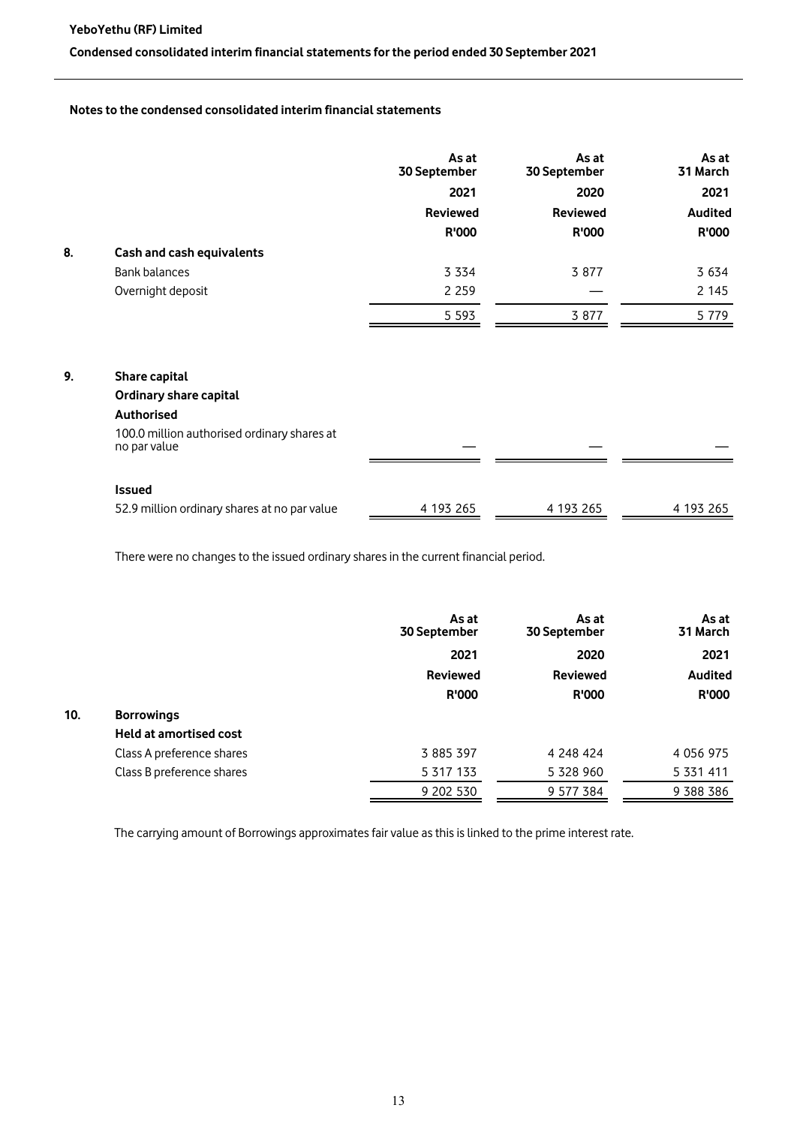## **Condensed consolidated interim financial statements for the period ended 30 September 2021**

# **Notes to the condensed consolidated interim financial statements**

|    |                           | As at<br>30 September | As at<br>30 September | As at<br>31 March |
|----|---------------------------|-----------------------|-----------------------|-------------------|
|    |                           | 2021                  | 2020                  | 2021              |
|    |                           | <b>Reviewed</b>       | <b>Reviewed</b>       | <b>Audited</b>    |
|    |                           | <b>R'000</b>          | R'000                 | <b>R'000</b>      |
| 8. | Cash and cash equivalents |                       |                       |                   |
|    | <b>Bank balances</b>      | 3 3 3 4               | 3 8 7 7               | 3 6 3 4           |
|    | Overnight deposit         | 2 2 5 9               |                       | 2 1 4 5           |
|    |                           | 5 5 9 3               | 3 8 7 7               | 5 7 7 9           |

## **9. Share capital**

| Ordinary share capital                                      |           |           |           |
|-------------------------------------------------------------|-----------|-----------|-----------|
| <b>Authorised</b>                                           |           |           |           |
| 100.0 million authorised ordinary shares at<br>no par value |           |           |           |
| Issued                                                      |           |           |           |
| 52.9 million ordinary shares at no par value                | 4 193 265 | 4 193 265 | 4 193 265 |

There were no changes to the issued ordinary shares in the current financial period.

|     |                               | As at<br>30 September | As at<br>30 September | As at<br>31 March |
|-----|-------------------------------|-----------------------|-----------------------|-------------------|
|     |                               | 2021                  | 2020                  | 2021              |
|     |                               | <b>Reviewed</b>       | <b>Reviewed</b>       | <b>Audited</b>    |
|     |                               | <b>R'000</b>          | <b>R'000</b>          | <b>R'000</b>      |
| 10. | <b>Borrowings</b>             |                       |                       |                   |
|     | <b>Held at amortised cost</b> |                       |                       |                   |
|     | Class A preference shares     | 3 885 397             | 4 248 424             | 4 0 5 6 9 7 5     |
|     | Class B preference shares     | 5 317 133             | 5 328 960             | 5 331 411         |
|     |                               | 9 202 530             | 9 577 384             | 9 388 386         |

The carrying amount of Borrowings approximates fair value as this is linked to the prime interest rate.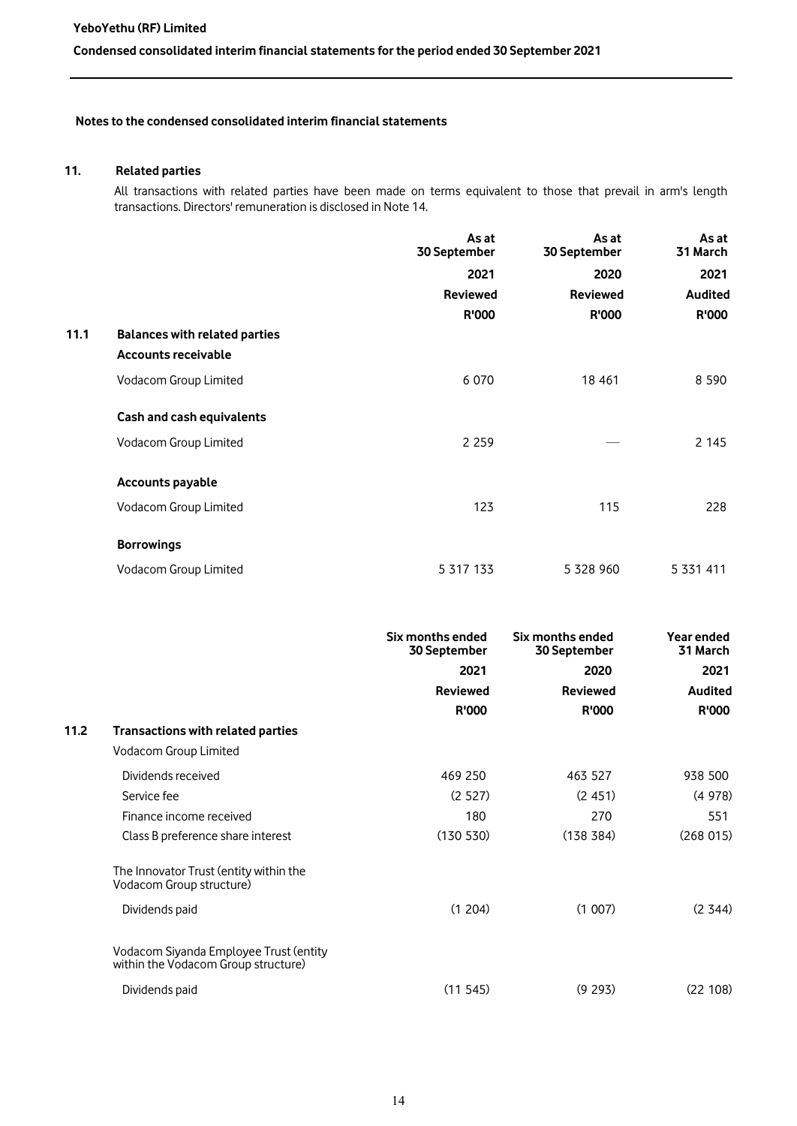# **11. Related parties**

All transactions with related parties have been made on terms equivalent to those that prevail in arm's length transactions. Directors' remuneration is disclosed in Note 14.

|      |                                                                    | As at<br>30 September            | As at<br>30 September            | As at<br>31 March      |
|------|--------------------------------------------------------------------|----------------------------------|----------------------------------|------------------------|
|      |                                                                    | 2021                             | 2020                             | 2021                   |
|      |                                                                    | <b>Reviewed</b>                  | <b>Reviewed</b>                  | <b>Audited</b>         |
|      |                                                                    | R'000                            | <b>R'000</b>                     | <b>R'000</b>           |
| 11.1 | <b>Balances with related parties</b><br><b>Accounts receivable</b> |                                  |                                  |                        |
|      | Vodacom Group Limited                                              | 6 0 7 0                          | 18 4 61                          | 8 5 9 0                |
|      | Cash and cash equivalents                                          |                                  |                                  |                        |
|      | Vodacom Group Limited                                              | 2 2 5 9                          |                                  | 2 1 4 5                |
|      | <b>Accounts payable</b>                                            |                                  |                                  |                        |
|      | Vodacom Group Limited                                              | 123                              | 115                              | 228                    |
|      | <b>Borrowings</b>                                                  |                                  |                                  |                        |
|      | Vodacom Group Limited                                              | 5 317 133                        | 5 328 960                        | 5 331 411              |
|      |                                                                    | Six months ended<br>30 September | Six months ended<br>30 September | Year ended<br>31 March |
|      |                                                                    | 2021                             | 2020                             | 2021                   |
|      |                                                                    | <b>Reviewed</b>                  | <b>Reviewed</b>                  | <b>Audited</b>         |
|      |                                                                    | R'000                            | <b>R'000</b>                     | <b>R'000</b>           |
| 11.2 | Transactions with related parties                                  |                                  |                                  |                        |
|      | Vodacom Group Limited                                              |                                  |                                  |                        |
|      | Dividends received                                                 | 469 250                          | 463 527                          | 938 500                |
|      | Service fee                                                        | (2527)                           | (2451)                           | (4978)                 |
|      | Finance income received                                            | 180                              | 270                              | 551                    |
|      | Class B preference share interest                                  | (130 530)                        | (138 384)                        | (268015)               |

The Innovator Trust (entity within the Vodacom Group structure) Dividends paid (1 204) (1 007) (2 344)

Vodacom Siyanda Employee Trust (entity within the Vodacom Group structure)

| Dividends paid | (11.545) | (9, 293) | (22 108) |
|----------------|----------|----------|----------|
|                |          |          |          |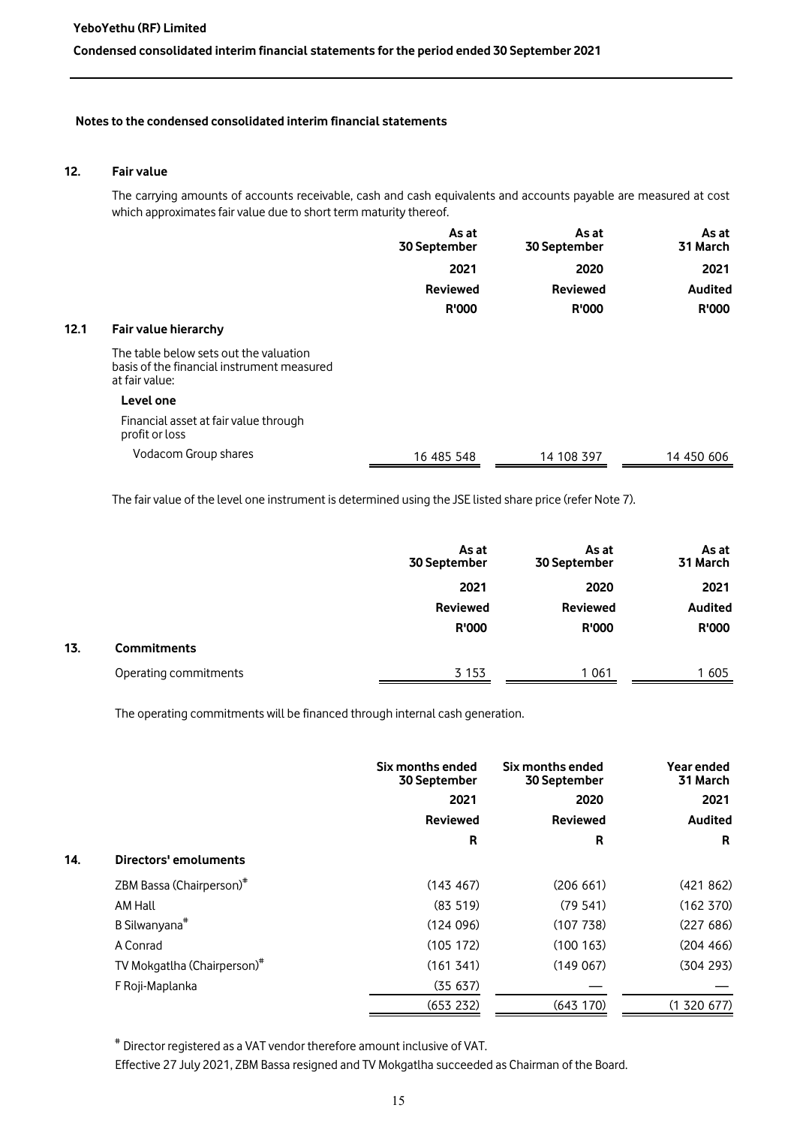### **12. Fair value**

The carrying amounts of accounts receivable, cash and cash equivalents and accounts payable are measured at cost which approximates fair value due to short term maturity thereof.

|      |                                                                                                        | As at<br>30 September | As at<br>30 September | As at<br>31 March |
|------|--------------------------------------------------------------------------------------------------------|-----------------------|-----------------------|-------------------|
|      |                                                                                                        | 2021                  | 2020                  | 2021              |
|      |                                                                                                        | <b>Reviewed</b>       | <b>Reviewed</b>       | Audited           |
|      |                                                                                                        | <b>R'000</b>          | <b>R'000</b>          | <b>R'000</b>      |
| 12.1 | Fair value hierarchy                                                                                   |                       |                       |                   |
|      | The table below sets out the valuation<br>basis of the financial instrument measured<br>at fair value: |                       |                       |                   |
|      | Level one                                                                                              |                       |                       |                   |
|      | Financial asset at fair value through<br>profit or loss                                                |                       |                       |                   |
|      | Vodacom Group shares                                                                                   | 16 485 548            | 14 108 397            | 14 450 606        |

The fair value of the level one instrument is determined using the JSE listed share price (refer Note 7).

|     |                       | As at<br>30 September | As at<br>30 September | As at<br>31 March |
|-----|-----------------------|-----------------------|-----------------------|-------------------|
|     |                       | 2021                  | 2020                  | 2021              |
|     |                       | <b>Reviewed</b>       | <b>Reviewed</b>       | <b>Audited</b>    |
|     |                       | <b>R'000</b>          | <b>R'000</b>          | <b>R'000</b>      |
| 13. | <b>Commitments</b>    |                       |                       |                   |
|     | Operating commitments | 3 1 5 3               | 1 0 6 1               | 1 605             |

The operating commitments will be financed through internal cash generation.

|     |                                         | Six months ended<br>30 September | Six months ended<br>30 September | Year ended<br>31 March |
|-----|-----------------------------------------|----------------------------------|----------------------------------|------------------------|
|     |                                         | 2021                             | 2020                             | 2021                   |
|     |                                         | <b>Reviewed</b>                  | <b>Reviewed</b>                  | <b>Audited</b>         |
|     |                                         | R                                | R                                | R                      |
| 14. | Directors' emoluments                   |                                  |                                  |                        |
|     | ZBM Bassa (Chairperson) <sup>#</sup>    | (143 467)                        | (206 661)                        | (421862)               |
|     | AM Hall                                 | (83, 519)                        | (79.541)                         | (162 370)              |
|     | B Silwanyana <sup>#</sup>               | (124096)                         | (107738)                         | (227686)               |
|     | A Conrad                                | (105 172)                        | (100163)                         | (204, 466)             |
|     | TV Mokgatlha (Chairperson) <sup>#</sup> | (161341)                         | (149067)                         | (304 293)              |
|     | F Roji-Maplanka                         | (35637)                          |                                  |                        |
|     |                                         | (653 232)                        | (643 170)                        | (1 320 677)            |

# Director registered as a VAT vendor therefore amount inclusive of VAT.

Effective 27 July 2021, ZBM Bassa resigned and TV Mokgatlha succeeded as Chairman of the Board.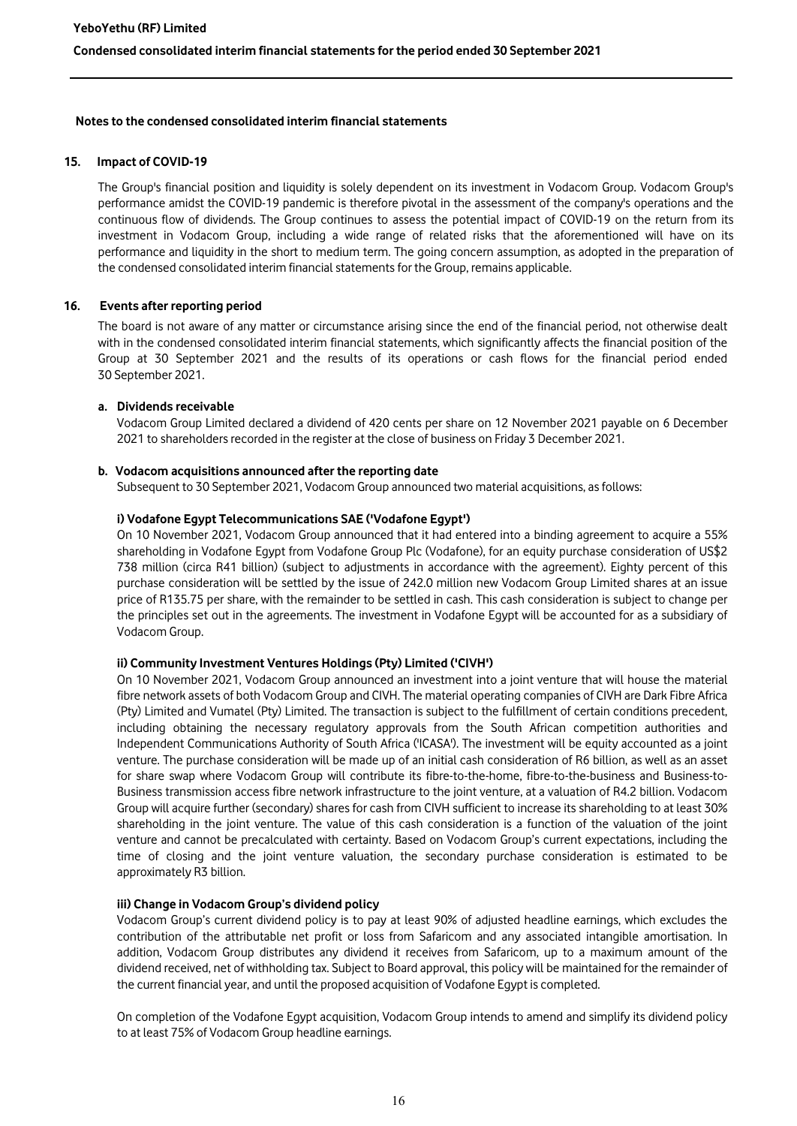## **15. Impact of COVID-19**

The Group's financial position and liquidity is solely dependent on its investment in Vodacom Group. Vodacom Group's performance amidst the COVID-19 pandemic is therefore pivotal in the assessment of the company's operations and the continuous flow of dividends. The Group continues to assess the potential impact of COVID-19 on the return from its investment in Vodacom Group, including a wide range of related risks that the aforementioned will have on its performance and liquidity in the short to medium term. The going concern assumption, as adopted in the preparation of the condensed consolidated interim financial statements for the Group, remains applicable.

## **16. Events after reporting period**

The board is not aware of any matter or circumstance arising since the end of the financial period, not otherwise dealt with in the condensed consolidated interim financial statements, which significantly affects the financial position of the Group at 30 September 2021 and the results of its operations or cash flows for the financial period ended 30 September 2021.

## **a. Dividends receivable**

Vodacom Group Limited declared a dividend of 420 cents per share on 12 November 2021 payable on 6 December 2021 to shareholders recorded in the register at the close of business on Friday 3 December 2021.

#### **b. Vodacom acquisitions announced after the reporting date**

Subsequent to 30 September 2021, Vodacom Group announced two material acquisitions, as follows:

#### **i) Vodafone Egypt Telecommunications SAE ('Vodafone Egypt')**

On 10 November 2021, Vodacom Group announced that it had entered into a binding agreement to acquire a 55% shareholding in Vodafone Egypt from Vodafone Group Plc (Vodafone), for an equity purchase consideration of US\$2 738 million (circa R41 billion) (subject to adjustments in accordance with the agreement). Eighty percent of this purchase consideration will be settled by the issue of 242.0 million new Vodacom Group Limited shares at an issue price of R135.75 per share, with the remainder to be settled in cash. This cash consideration is subject to change per the principles set out in the agreements. The investment in Vodafone Egypt will be accounted for as a subsidiary of Vodacom Group.

#### **ii) Community Investment Ventures Holdings (Pty) Limited ('CIVH')**

On 10 November 2021, Vodacom Group announced an investment into a joint venture that will house the material fibre network assets of both Vodacom Group and CIVH. The material operating companies of CIVH are Dark Fibre Africa (Pty) Limited and Vumatel (Pty) Limited. The transaction is subject to the fulfillment of certain conditions precedent, including obtaining the necessary regulatory approvals from the South African competition authorities and Independent Communications Authority of South Africa ('ICASA'). The investment will be equity accounted as a joint venture. The purchase consideration will be made up of an initial cash consideration of R6 billion, as well as an asset for share swap where Vodacom Group will contribute its fibre-to-the-home, fibre-to-the-business and Business-to-Business transmission access fibre network infrastructure to the joint venture, at a valuation of R4.2 billion. Vodacom Group will acquire further (secondary) shares for cash from CIVH sufficient to increase its shareholding to at least 30% shareholding in the joint venture. The value of this cash consideration is a function of the valuation of the joint venture and cannot be precalculated with certainty. Based on Vodacom Group's current expectations, including the time of closing and the joint venture valuation, the secondary purchase consideration is estimated to be approximately R3 billion.

#### **iii) Change in Vodacom Group's dividend policy**

Vodacom Group's current dividend policy is to pay at least 90% of adjusted headline earnings, which excludes the contribution of the attributable net profit or loss from Safaricom and any associated intangible amortisation. In addition, Vodacom Group distributes any dividend it receives from Safaricom, up to a maximum amount of the dividend received, net of withholding tax. Subject to Board approval, this policy will be maintained for the remainder of the current financial year, and until the proposed acquisition of Vodafone Egypt is completed.

On completion of the Vodafone Egypt acquisition, Vodacom Group intends to amend and simplify its dividend policy to at least 75% of Vodacom Group headline earnings.